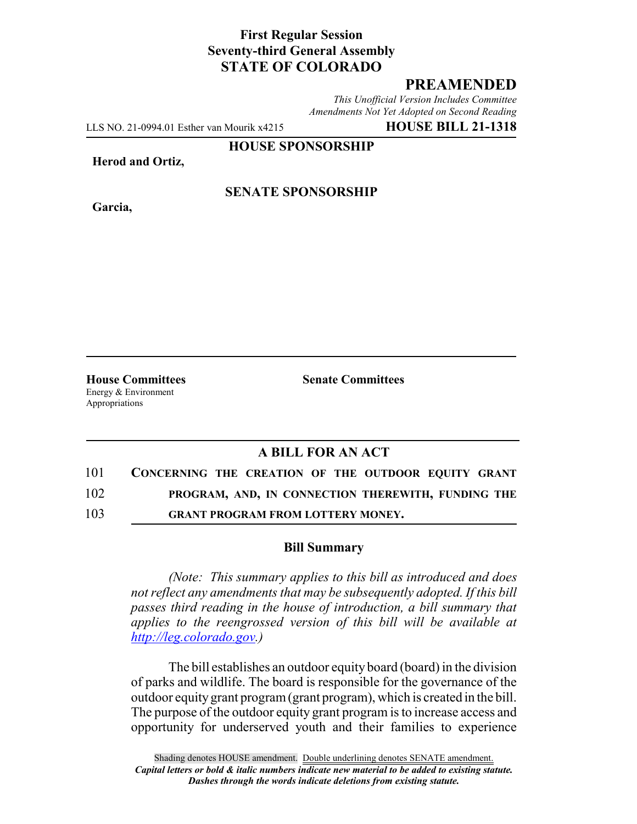# **First Regular Session Seventy-third General Assembly STATE OF COLORADO**

# **PREAMENDED**

*This Unofficial Version Includes Committee Amendments Not Yet Adopted on Second Reading*

LLS NO. 21-0994.01 Esther van Mourik x4215 **HOUSE BILL 21-1318**

**HOUSE SPONSORSHIP**

**Herod and Ortiz,**

**Garcia,**

### **SENATE SPONSORSHIP**

Energy & Environment Appropriations

**House Committees Senate Committees**

### **A BILL FOR AN ACT**

| 101 | CONCERNING THE CREATION OF THE OUTDOOR EQUITY GRANT |
|-----|-----------------------------------------------------|
| 102 | PROGRAM, AND, IN CONNECTION THEREWITH, FUNDING THE  |

103 **GRANT PROGRAM FROM LOTTERY MONEY.**

#### **Bill Summary**

*(Note: This summary applies to this bill as introduced and does not reflect any amendments that may be subsequently adopted. If this bill passes third reading in the house of introduction, a bill summary that applies to the reengrossed version of this bill will be available at http://leg.colorado.gov.)*

The bill establishes an outdoor equity board (board) in the division of parks and wildlife. The board is responsible for the governance of the outdoor equity grant program (grant program), which is created in the bill. The purpose of the outdoor equity grant program is to increase access and opportunity for underserved youth and their families to experience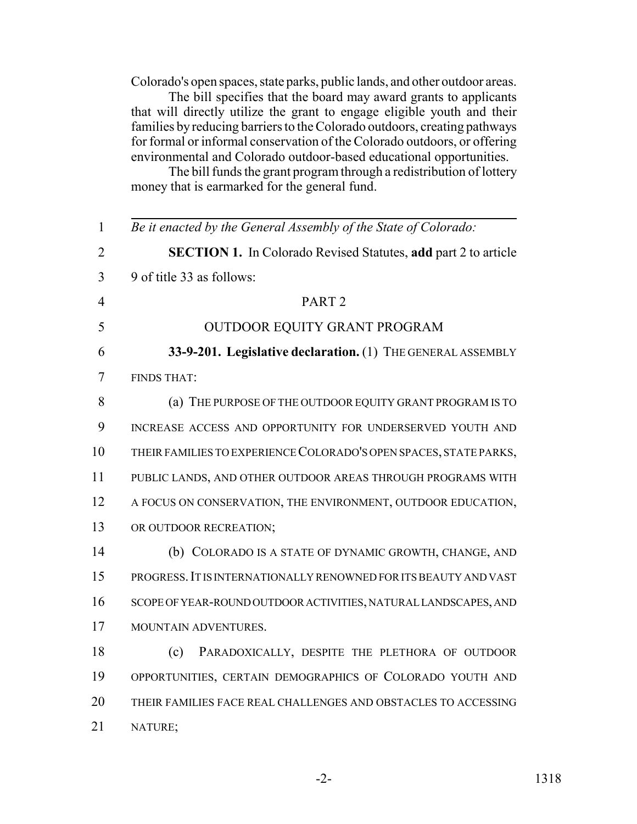Colorado's open spaces, state parks, public lands, and other outdoor areas.

The bill specifies that the board may award grants to applicants that will directly utilize the grant to engage eligible youth and their families by reducing barriers to the Colorado outdoors, creating pathways for formal or informal conservation of the Colorado outdoors, or offering environmental and Colorado outdoor-based educational opportunities.

The bill funds the grant program through a redistribution of lottery money that is earmarked for the general fund.

| $\mathbf{1}$   | Be it enacted by the General Assembly of the State of Colorado:       |
|----------------|-----------------------------------------------------------------------|
| 2              | <b>SECTION 1.</b> In Colorado Revised Statutes, add part 2 to article |
| 3              | 9 of title 33 as follows:                                             |
| $\overline{4}$ | PART <sub>2</sub>                                                     |
| 5              | OUTDOOR EQUITY GRANT PROGRAM                                          |
| 6              | 33-9-201. Legislative declaration. (1) THE GENERAL ASSEMBLY           |
| 7              | <b>FINDS THAT:</b>                                                    |
| 8              | (a) THE PURPOSE OF THE OUTDOOR EQUITY GRANT PROGRAM IS TO             |
| 9              | INCREASE ACCESS AND OPPORTUNITY FOR UNDERSERVED YOUTH AND             |
| 10             | THEIR FAMILIES TO EXPERIENCE COLORADO'S OPEN SPACES, STATE PARKS,     |
| 11             | PUBLIC LANDS, AND OTHER OUTDOOR AREAS THROUGH PROGRAMS WITH           |
| 12             | A FOCUS ON CONSERVATION, THE ENVIRONMENT, OUTDOOR EDUCATION,          |
| 13             | OR OUTDOOR RECREATION;                                                |
| 14             | (b) COLORADO IS A STATE OF DYNAMIC GROWTH, CHANGE, AND                |
| 15             | PROGRESS. IT IS INTERNATIONALLY RENOWNED FOR ITS BEAUTY AND VAST      |
| 16             | SCOPE OF YEAR-ROUND OUTDOOR ACTIVITIES, NATURAL LANDSCAPES, AND       |
| 17             | MOUNTAIN ADVENTURES.                                                  |
| 18             | PARADOXICALLY, DESPITE THE PLETHORA OF OUTDOOR<br>(c)                 |
| 19             | OPPORTUNITIES, CERTAIN DEMOGRAPHICS OF COLORADO YOUTH AND             |
| 20             | THEIR FAMILIES FACE REAL CHALLENGES AND OBSTACLES TO ACCESSING        |
| 21             | NATURE;                                                               |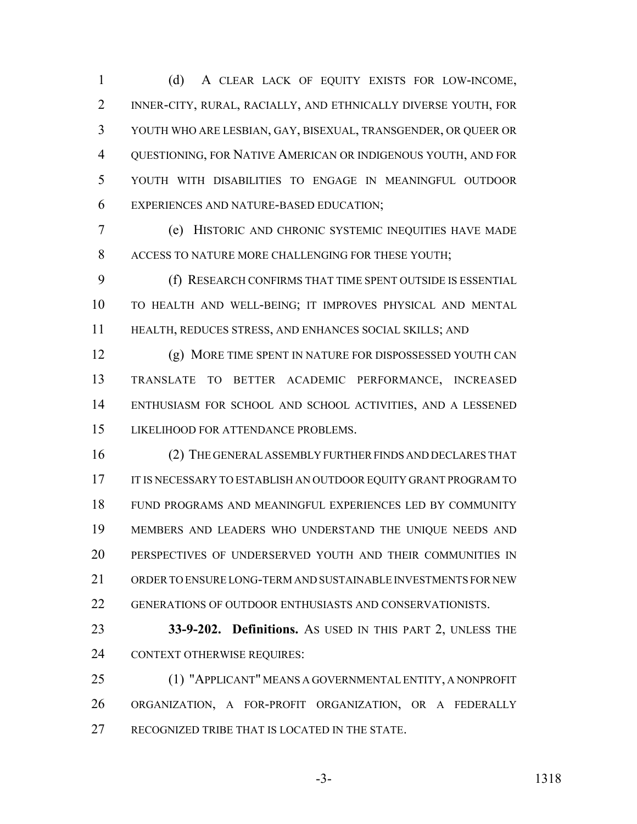(d) A CLEAR LACK OF EQUITY EXISTS FOR LOW-INCOME, INNER-CITY, RURAL, RACIALLY, AND ETHNICALLY DIVERSE YOUTH, FOR YOUTH WHO ARE LESBIAN, GAY, BISEXUAL, TRANSGENDER, OR QUEER OR QUESTIONING, FOR NATIVE AMERICAN OR INDIGENOUS YOUTH, AND FOR YOUTH WITH DISABILITIES TO ENGAGE IN MEANINGFUL OUTDOOR EXPERIENCES AND NATURE-BASED EDUCATION;

 (e) HISTORIC AND CHRONIC SYSTEMIC INEQUITIES HAVE MADE ACCESS TO NATURE MORE CHALLENGING FOR THESE YOUTH;

 (f) RESEARCH CONFIRMS THAT TIME SPENT OUTSIDE IS ESSENTIAL TO HEALTH AND WELL-BEING; IT IMPROVES PHYSICAL AND MENTAL HEALTH, REDUCES STRESS, AND ENHANCES SOCIAL SKILLS; AND

 (g) MORE TIME SPENT IN NATURE FOR DISPOSSESSED YOUTH CAN TRANSLATE TO BETTER ACADEMIC PERFORMANCE, INCREASED ENTHUSIASM FOR SCHOOL AND SCHOOL ACTIVITIES, AND A LESSENED LIKELIHOOD FOR ATTENDANCE PROBLEMS.

 (2) THE GENERAL ASSEMBLY FURTHER FINDS AND DECLARES THAT 17 IT IS NECESSARY TO ESTABLISH AN OUTDOOR EQUITY GRANT PROGRAM TO FUND PROGRAMS AND MEANINGFUL EXPERIENCES LED BY COMMUNITY MEMBERS AND LEADERS WHO UNDERSTAND THE UNIQUE NEEDS AND PERSPECTIVES OF UNDERSERVED YOUTH AND THEIR COMMUNITIES IN ORDER TO ENSURE LONG-TERM AND SUSTAINABLE INVESTMENTS FOR NEW GENERATIONS OF OUTDOOR ENTHUSIASTS AND CONSERVATIONISTS.

 **33-9-202. Definitions.** AS USED IN THIS PART 2, UNLESS THE CONTEXT OTHERWISE REQUIRES:

 (1) "APPLICANT" MEANS A GOVERNMENTAL ENTITY, A NONPROFIT ORGANIZATION, A FOR-PROFIT ORGANIZATION, OR A FEDERALLY RECOGNIZED TRIBE THAT IS LOCATED IN THE STATE.

-3- 1318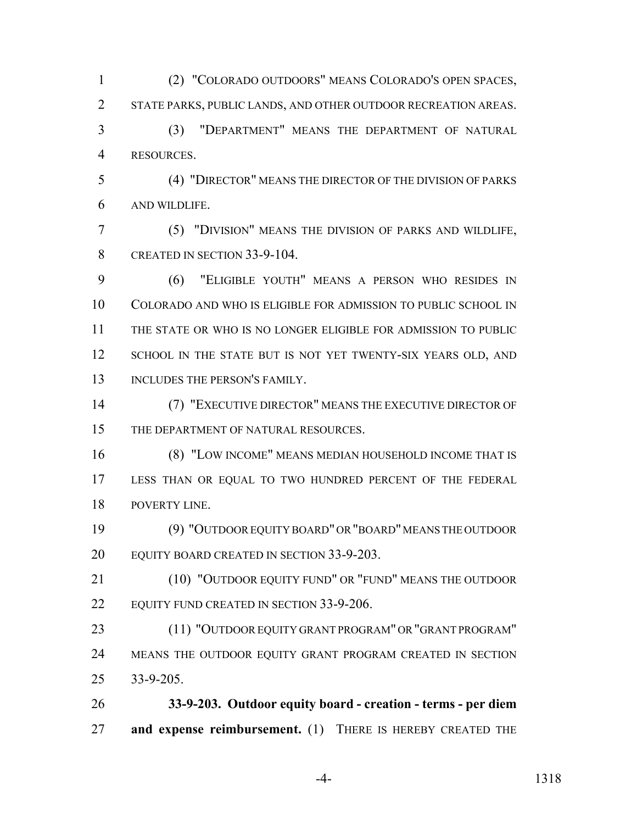(2) "COLORADO OUTDOORS" MEANS COLORADO'S OPEN SPACES, STATE PARKS, PUBLIC LANDS, AND OTHER OUTDOOR RECREATION AREAS. (3) "DEPARTMENT" MEANS THE DEPARTMENT OF NATURAL RESOURCES. (4) "DIRECTOR" MEANS THE DIRECTOR OF THE DIVISION OF PARKS AND WILDLIFE. (5) "DIVISION" MEANS THE DIVISION OF PARKS AND WILDLIFE, 8 CREATED IN SECTION 33-9-104. (6) "ELIGIBLE YOUTH" MEANS A PERSON WHO RESIDES IN COLORADO AND WHO IS ELIGIBLE FOR ADMISSION TO PUBLIC SCHOOL IN THE STATE OR WHO IS NO LONGER ELIGIBLE FOR ADMISSION TO PUBLIC 12 SCHOOL IN THE STATE BUT IS NOT YET TWENTY-SIX YEARS OLD, AND

13 INCLUDES THE PERSON'S FAMILY.

 (7) "EXECUTIVE DIRECTOR" MEANS THE EXECUTIVE DIRECTOR OF 15 THE DEPARTMENT OF NATURAL RESOURCES.

 (8) "LOW INCOME" MEANS MEDIAN HOUSEHOLD INCOME THAT IS LESS THAN OR EQUAL TO TWO HUNDRED PERCENT OF THE FEDERAL POVERTY LINE.

 (9) "OUTDOOR EQUITY BOARD" OR "BOARD" MEANS THE OUTDOOR EQUITY BOARD CREATED IN SECTION 33-9-203.

 (10) "OUTDOOR EQUITY FUND" OR "FUND" MEANS THE OUTDOOR 22 EQUITY FUND CREATED IN SECTION 33-9-206.

 (11) "OUTDOOR EQUITY GRANT PROGRAM" OR "GRANT PROGRAM" 24 MEANS THE OUTDOOR EQUITY GRANT PROGRAM CREATED IN SECTION 33-9-205.

 **33-9-203. Outdoor equity board - creation - terms - per diem and expense reimbursement.** (1) THERE IS HEREBY CREATED THE

-4- 1318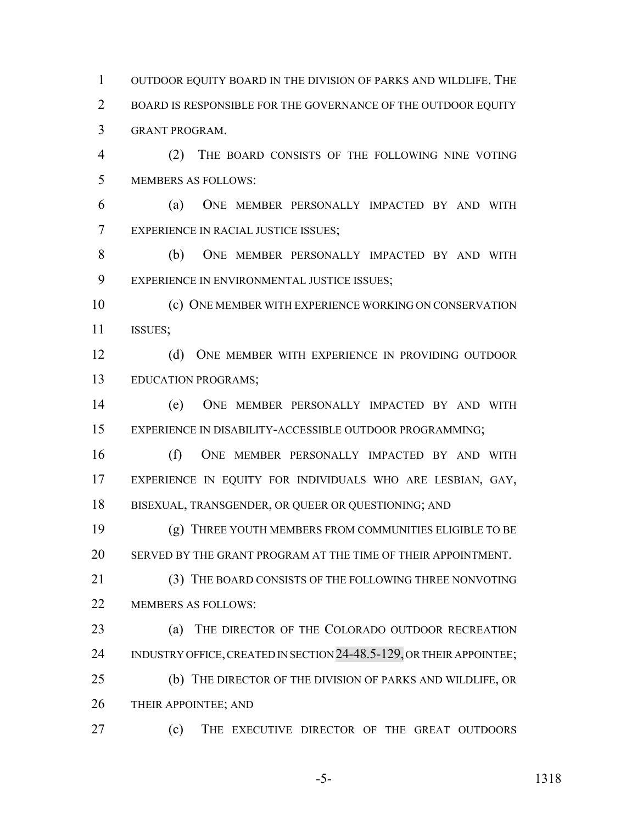OUTDOOR EQUITY BOARD IN THE DIVISION OF PARKS AND WILDLIFE. THE BOARD IS RESPONSIBLE FOR THE GOVERNANCE OF THE OUTDOOR EQUITY GRANT PROGRAM.

 (2) THE BOARD CONSISTS OF THE FOLLOWING NINE VOTING MEMBERS AS FOLLOWS:

 (a) ONE MEMBER PERSONALLY IMPACTED BY AND WITH EXPERIENCE IN RACIAL JUSTICE ISSUES;

 (b) ONE MEMBER PERSONALLY IMPACTED BY AND WITH EXPERIENCE IN ENVIRONMENTAL JUSTICE ISSUES;

 (c) ONE MEMBER WITH EXPERIENCE WORKING ON CONSERVATION ISSUES;

 (d) ONE MEMBER WITH EXPERIENCE IN PROVIDING OUTDOOR EDUCATION PROGRAMS;

 (e) ONE MEMBER PERSONALLY IMPACTED BY AND WITH EXPERIENCE IN DISABILITY-ACCESSIBLE OUTDOOR PROGRAMMING;

 (f) ONE MEMBER PERSONALLY IMPACTED BY AND WITH EXPERIENCE IN EQUITY FOR INDIVIDUALS WHO ARE LESBIAN, GAY, BISEXUAL, TRANSGENDER, OR QUEER OR QUESTIONING; AND

 (g) THREE YOUTH MEMBERS FROM COMMUNITIES ELIGIBLE TO BE SERVED BY THE GRANT PROGRAM AT THE TIME OF THEIR APPOINTMENT.

 (3) THE BOARD CONSISTS OF THE FOLLOWING THREE NONVOTING 22 MEMBERS AS FOLLOWS:

 (a) THE DIRECTOR OF THE COLORADO OUTDOOR RECREATION 24 INDUSTRY OFFICE, CREATED IN SECTION 24-48.5-129, OR THEIR APPOINTEE; (b) THE DIRECTOR OF THE DIVISION OF PARKS AND WILDLIFE, OR 26 THEIR APPOINTEE; AND

(c) THE EXECUTIVE DIRECTOR OF THE GREAT OUTDOORS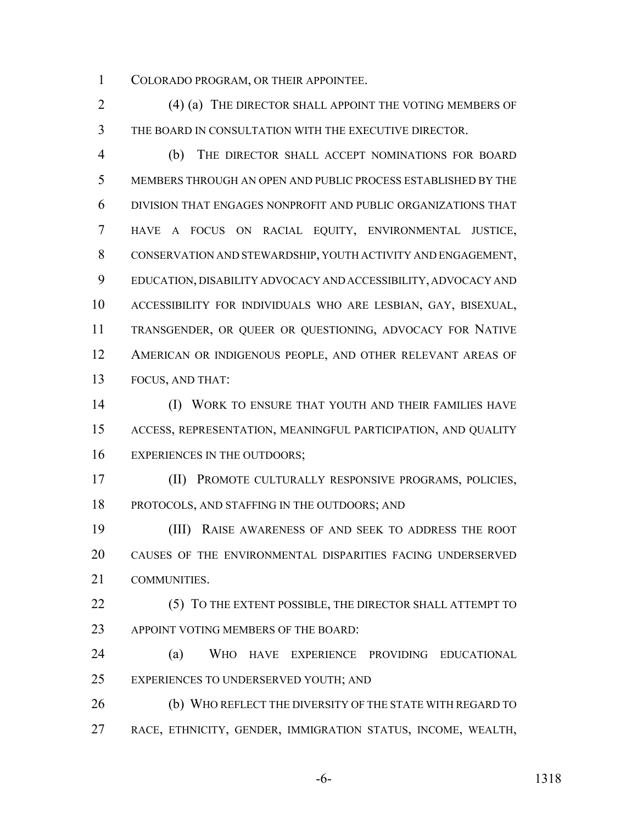COLORADO PROGRAM, OR THEIR APPOINTEE.

2 (4) (a) THE DIRECTOR SHALL APPOINT THE VOTING MEMBERS OF THE BOARD IN CONSULTATION WITH THE EXECUTIVE DIRECTOR.

 (b) THE DIRECTOR SHALL ACCEPT NOMINATIONS FOR BOARD MEMBERS THROUGH AN OPEN AND PUBLIC PROCESS ESTABLISHED BY THE DIVISION THAT ENGAGES NONPROFIT AND PUBLIC ORGANIZATIONS THAT HAVE A FOCUS ON RACIAL EQUITY, ENVIRONMENTAL JUSTICE, CONSERVATION AND STEWARDSHIP, YOUTH ACTIVITY AND ENGAGEMENT, EDUCATION, DISABILITY ADVOCACY AND ACCESSIBILITY, ADVOCACY AND ACCESSIBILITY FOR INDIVIDUALS WHO ARE LESBIAN, GAY, BISEXUAL, TRANSGENDER, OR QUEER OR QUESTIONING, ADVOCACY FOR NATIVE AMERICAN OR INDIGENOUS PEOPLE, AND OTHER RELEVANT AREAS OF FOCUS, AND THAT:

**(I) WORK TO ENSURE THAT YOUTH AND THEIR FAMILIES HAVE**  ACCESS, REPRESENTATION, MEANINGFUL PARTICIPATION, AND QUALITY 16 EXPERIENCES IN THE OUTDOORS;

 (II) PROMOTE CULTURALLY RESPONSIVE PROGRAMS, POLICIES, PROTOCOLS, AND STAFFING IN THE OUTDOORS; AND

 (III) RAISE AWARENESS OF AND SEEK TO ADDRESS THE ROOT CAUSES OF THE ENVIRONMENTAL DISPARITIES FACING UNDERSERVED COMMUNITIES.

22 (5) TO THE EXTENT POSSIBLE, THE DIRECTOR SHALL ATTEMPT TO 23 APPOINT VOTING MEMBERS OF THE BOARD:

 (a) WHO HAVE EXPERIENCE PROVIDING EDUCATIONAL EXPERIENCES TO UNDERSERVED YOUTH; AND

 (b) WHO REFLECT THE DIVERSITY OF THE STATE WITH REGARD TO RACE, ETHNICITY, GENDER, IMMIGRATION STATUS, INCOME, WEALTH,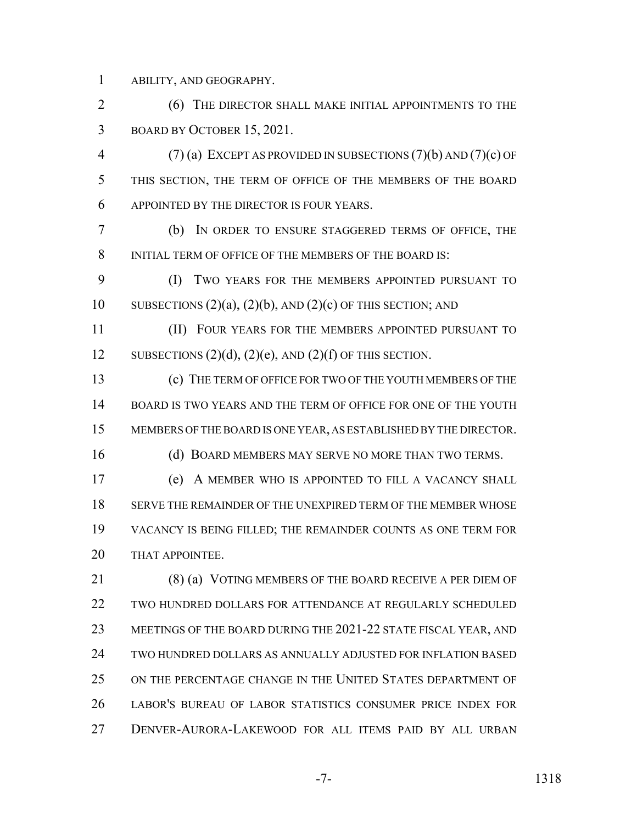ABILITY, AND GEOGRAPHY.

2 (6) THE DIRECTOR SHALL MAKE INITIAL APPOINTMENTS TO THE BOARD BY OCTOBER 15, 2021.

 (7) (a) EXCEPT AS PROVIDED IN SUBSECTIONS (7)(b) AND (7)(c) OF THIS SECTION, THE TERM OF OFFICE OF THE MEMBERS OF THE BOARD APPOINTED BY THE DIRECTOR IS FOUR YEARS.

 (b) IN ORDER TO ENSURE STAGGERED TERMS OF OFFICE, THE 8 INITIAL TERM OF OFFICE OF THE MEMBERS OF THE BOARD IS:

 (I) TWO YEARS FOR THE MEMBERS APPOINTED PURSUANT TO 10 SUBSECTIONS  $(2)(a)$ ,  $(2)(b)$ , AND  $(2)(c)$  OF THIS SECTION; AND

 (II) FOUR YEARS FOR THE MEMBERS APPOINTED PURSUANT TO 12 SUBSECTIONS  $(2)(d)$ ,  $(2)(e)$ , AND  $(2)(f)$  OF THIS SECTION.

 (c) THE TERM OF OFFICE FOR TWO OF THE YOUTH MEMBERS OF THE BOARD IS TWO YEARS AND THE TERM OF OFFICE FOR ONE OF THE YOUTH MEMBERS OF THE BOARD IS ONE YEAR, AS ESTABLISHED BY THE DIRECTOR.

16 (d) BOARD MEMBERS MAY SERVE NO MORE THAN TWO TERMS.

 (e) A MEMBER WHO IS APPOINTED TO FILL A VACANCY SHALL SERVE THE REMAINDER OF THE UNEXPIRED TERM OF THE MEMBER WHOSE VACANCY IS BEING FILLED; THE REMAINDER COUNTS AS ONE TERM FOR 20 THAT APPOINTEE.

21 (8) (a) VOTING MEMBERS OF THE BOARD RECEIVE A PER DIEM OF TWO HUNDRED DOLLARS FOR ATTENDANCE AT REGULARLY SCHEDULED MEETINGS OF THE BOARD DURING THE 2021-22 STATE FISCAL YEAR, AND TWO HUNDRED DOLLARS AS ANNUALLY ADJUSTED FOR INFLATION BASED ON THE PERCENTAGE CHANGE IN THE UNITED STATES DEPARTMENT OF LABOR'S BUREAU OF LABOR STATISTICS CONSUMER PRICE INDEX FOR DENVER-AURORA-LAKEWOOD FOR ALL ITEMS PAID BY ALL URBAN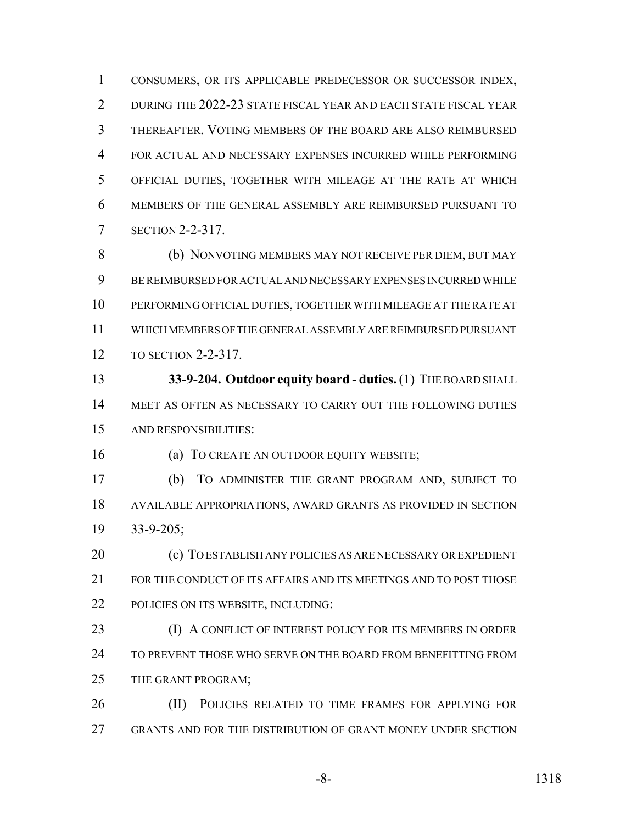CONSUMERS, OR ITS APPLICABLE PREDECESSOR OR SUCCESSOR INDEX, DURING THE 2022-23 STATE FISCAL YEAR AND EACH STATE FISCAL YEAR THEREAFTER. VOTING MEMBERS OF THE BOARD ARE ALSO REIMBURSED FOR ACTUAL AND NECESSARY EXPENSES INCURRED WHILE PERFORMING OFFICIAL DUTIES, TOGETHER WITH MILEAGE AT THE RATE AT WHICH MEMBERS OF THE GENERAL ASSEMBLY ARE REIMBURSED PURSUANT TO SECTION 2-2-317.

 (b) NONVOTING MEMBERS MAY NOT RECEIVE PER DIEM, BUT MAY BE REIMBURSED FOR ACTUAL AND NECESSARY EXPENSES INCURRED WHILE PERFORMING OFFICIAL DUTIES, TOGETHER WITH MILEAGE AT THE RATE AT WHICH MEMBERS OF THE GENERAL ASSEMBLY ARE REIMBURSED PURSUANT TO SECTION 2-2-317.

 **33-9-204. Outdoor equity board - duties.** (1) THE BOARD SHALL MEET AS OFTEN AS NECESSARY TO CARRY OUT THE FOLLOWING DUTIES AND RESPONSIBILITIES:

16 (a) TO CREATE AN OUTDOOR EQUITY WEBSITE;

 (b) TO ADMINISTER THE GRANT PROGRAM AND, SUBJECT TO AVAILABLE APPROPRIATIONS, AWARD GRANTS AS PROVIDED IN SECTION 33-9-205;

 (c) TO ESTABLISH ANY POLICIES AS ARE NECESSARY OR EXPEDIENT FOR THE CONDUCT OF ITS AFFAIRS AND ITS MEETINGS AND TO POST THOSE POLICIES ON ITS WEBSITE, INCLUDING:

23 (I) A CONFLICT OF INTEREST POLICY FOR ITS MEMBERS IN ORDER TO PREVENT THOSE WHO SERVE ON THE BOARD FROM BENEFITTING FROM THE GRANT PROGRAM;

26 (II) POLICIES RELATED TO TIME FRAMES FOR APPLYING FOR GRANTS AND FOR THE DISTRIBUTION OF GRANT MONEY UNDER SECTION

-8- 1318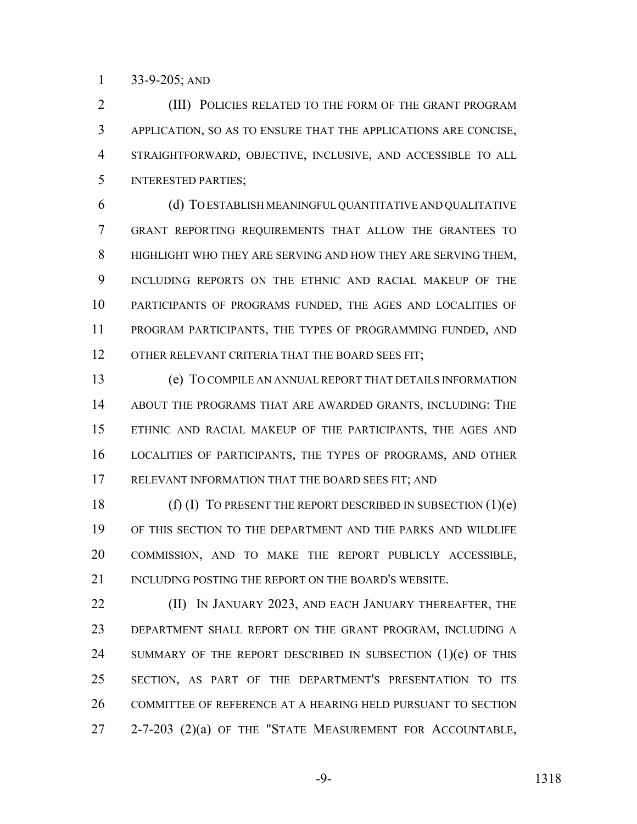33-9-205; AND

2 (III) POLICIES RELATED TO THE FORM OF THE GRANT PROGRAM APPLICATION, SO AS TO ENSURE THAT THE APPLICATIONS ARE CONCISE, STRAIGHTFORWARD, OBJECTIVE, INCLUSIVE, AND ACCESSIBLE TO ALL INTERESTED PARTIES;

 (d) TO ESTABLISH MEANINGFUL QUANTITATIVE AND QUALITATIVE GRANT REPORTING REQUIREMENTS THAT ALLOW THE GRANTEES TO HIGHLIGHT WHO THEY ARE SERVING AND HOW THEY ARE SERVING THEM, INCLUDING REPORTS ON THE ETHNIC AND RACIAL MAKEUP OF THE PARTICIPANTS OF PROGRAMS FUNDED, THE AGES AND LOCALITIES OF PROGRAM PARTICIPANTS, THE TYPES OF PROGRAMMING FUNDED, AND 12 OTHER RELEVANT CRITERIA THAT THE BOARD SEES FIT;

 (e) TO COMPILE AN ANNUAL REPORT THAT DETAILS INFORMATION ABOUT THE PROGRAMS THAT ARE AWARDED GRANTS, INCLUDING: THE ETHNIC AND RACIAL MAKEUP OF THE PARTICIPANTS, THE AGES AND LOCALITIES OF PARTICIPANTS, THE TYPES OF PROGRAMS, AND OTHER RELEVANT INFORMATION THAT THE BOARD SEES FIT; AND

18 (f) (I) TO PRESENT THE REPORT DESCRIBED IN SUBSECTION  $(1)(e)$  OF THIS SECTION TO THE DEPARTMENT AND THE PARKS AND WILDLIFE COMMISSION, AND TO MAKE THE REPORT PUBLICLY ACCESSIBLE, 21 INCLUDING POSTING THE REPORT ON THE BOARD'S WEBSITE.

**(II) IN JANUARY 2023, AND EACH JANUARY THEREAFTER, THE**  DEPARTMENT SHALL REPORT ON THE GRANT PROGRAM, INCLUDING A 24 SUMMARY OF THE REPORT DESCRIBED IN SUBSECTION (1)(e) OF THIS SECTION, AS PART OF THE DEPARTMENT'S PRESENTATION TO ITS COMMITTEE OF REFERENCE AT A HEARING HELD PURSUANT TO SECTION 27 2-7-203 (2)(a) OF THE "STATE MEASUREMENT FOR ACCOUNTABLE,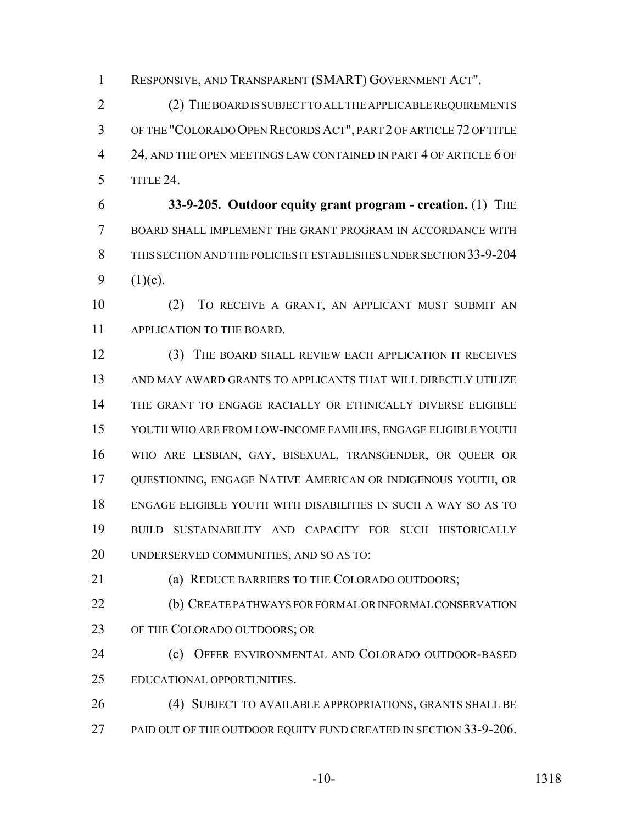RESPONSIVE, AND TRANSPARENT (SMART) GOVERNMENT ACT".

 (2) THE BOARD IS SUBJECT TO ALL THE APPLICABLE REQUIREMENTS OF THE "COLORADO OPEN RECORDS ACT", PART 2 OF ARTICLE 72 OF TITLE 4 24, AND THE OPEN MEETINGS LAW CONTAINED IN PART 4 OF ARTICLE 6 OF TITLE 24.

 **33-9-205. Outdoor equity grant program - creation.** (1) THE BOARD SHALL IMPLEMENT THE GRANT PROGRAM IN ACCORDANCE WITH THIS SECTION AND THE POLICIES IT ESTABLISHES UNDER SECTION 33-9-204 9  $(1)(c)$ .

 (2) TO RECEIVE A GRANT, AN APPLICANT MUST SUBMIT AN APPLICATION TO THE BOARD.

 (3) THE BOARD SHALL REVIEW EACH APPLICATION IT RECEIVES AND MAY AWARD GRANTS TO APPLICANTS THAT WILL DIRECTLY UTILIZE THE GRANT TO ENGAGE RACIALLY OR ETHNICALLY DIVERSE ELIGIBLE YOUTH WHO ARE FROM LOW-INCOME FAMILIES, ENGAGE ELIGIBLE YOUTH WHO ARE LESBIAN, GAY, BISEXUAL, TRANSGENDER, OR QUEER OR QUESTIONING, ENGAGE NATIVE AMERICAN OR INDIGENOUS YOUTH, OR ENGAGE ELIGIBLE YOUTH WITH DISABILITIES IN SUCH A WAY SO AS TO BUILD SUSTAINABILITY AND CAPACITY FOR SUCH HISTORICALLY UNDERSERVED COMMUNITIES, AND SO AS TO:

(a) REDUCE BARRIERS TO THE COLORADO OUTDOORS;

 (b) CREATE PATHWAYS FOR FORMAL OR INFORMAL CONSERVATION 23 OF THE COLORADO OUTDOORS; OR

 (c) OFFER ENVIRONMENTAL AND COLORADO OUTDOOR-BASED EDUCATIONAL OPPORTUNITIES.

 (4) SUBJECT TO AVAILABLE APPROPRIATIONS, GRANTS SHALL BE 27 PAID OUT OF THE OUTDOOR EQUITY FUND CREATED IN SECTION 33-9-206.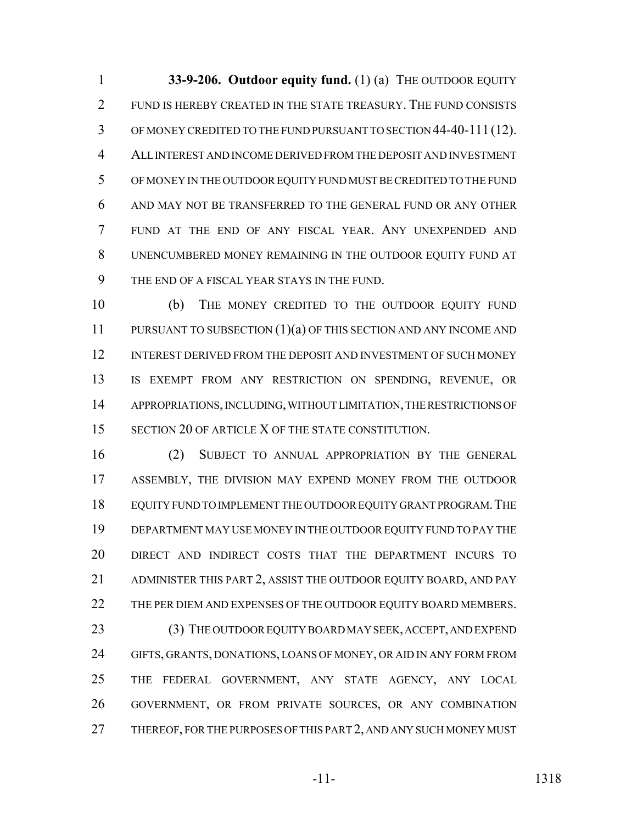**33-9-206. Outdoor equity fund.** (1) (a) THE OUTDOOR EQUITY FUND IS HEREBY CREATED IN THE STATE TREASURY. THE FUND CONSISTS OF MONEY CREDITED TO THE FUND PURSUANT TO SECTION 44-40-111 (12). ALL INTEREST AND INCOME DERIVED FROM THE DEPOSIT AND INVESTMENT OF MONEY IN THE OUTDOOR EQUITY FUND MUST BE CREDITED TO THE FUND AND MAY NOT BE TRANSFERRED TO THE GENERAL FUND OR ANY OTHER FUND AT THE END OF ANY FISCAL YEAR. ANY UNEXPENDED AND UNENCUMBERED MONEY REMAINING IN THE OUTDOOR EQUITY FUND AT THE END OF A FISCAL YEAR STAYS IN THE FUND.

 (b) THE MONEY CREDITED TO THE OUTDOOR EQUITY FUND PURSUANT TO SUBSECTION (1)(a) OF THIS SECTION AND ANY INCOME AND INTEREST DERIVED FROM THE DEPOSIT AND INVESTMENT OF SUCH MONEY IS EXEMPT FROM ANY RESTRICTION ON SPENDING, REVENUE, OR APPROPRIATIONS, INCLUDING, WITHOUT LIMITATION, THE RESTRICTIONS OF 15 SECTION 20 OF ARTICLE X OF THE STATE CONSTITUTION.

 (2) SUBJECT TO ANNUAL APPROPRIATION BY THE GENERAL ASSEMBLY, THE DIVISION MAY EXPEND MONEY FROM THE OUTDOOR EQUITY FUND TO IMPLEMENT THE OUTDOOR EQUITY GRANT PROGRAM.THE DEPARTMENT MAY USE MONEY IN THE OUTDOOR EQUITY FUND TO PAY THE DIRECT AND INDIRECT COSTS THAT THE DEPARTMENT INCURS TO ADMINISTER THIS PART 2, ASSIST THE OUTDOOR EQUITY BOARD, AND PAY 22 THE PER DIEM AND EXPENSES OF THE OUTDOOR EQUITY BOARD MEMBERS.

23 (3) THE OUTDOOR EQUITY BOARD MAY SEEK, ACCEPT, AND EXPEND GIFTS, GRANTS, DONATIONS, LOANS OF MONEY, OR AID IN ANY FORM FROM THE FEDERAL GOVERNMENT, ANY STATE AGENCY, ANY LOCAL GOVERNMENT, OR FROM PRIVATE SOURCES, OR ANY COMBINATION 27 THEREOF, FOR THE PURPOSES OF THIS PART 2, AND ANY SUCH MONEY MUST

-11- 1318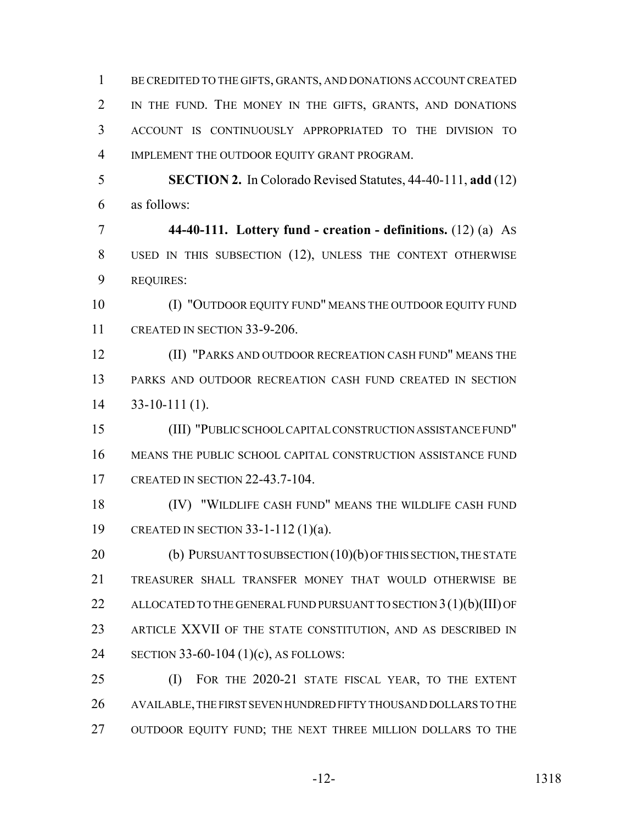BE CREDITED TO THE GIFTS, GRANTS, AND DONATIONS ACCOUNT CREATED IN THE FUND. THE MONEY IN THE GIFTS, GRANTS, AND DONATIONS ACCOUNT IS CONTINUOUSLY APPROPRIATED TO THE DIVISION TO IMPLEMENT THE OUTDOOR EQUITY GRANT PROGRAM. **SECTION 2.** In Colorado Revised Statutes, 44-40-111, **add** (12) as follows: **44-40-111. Lottery fund - creation - definitions.** (12) (a) AS USED IN THIS SUBSECTION (12), UNLESS THE CONTEXT OTHERWISE REQUIRES: 10 (I) "OUTDOOR EQUITY FUND" MEANS THE OUTDOOR EQUITY FUND CREATED IN SECTION 33-9-206. (II) "PARKS AND OUTDOOR RECREATION CASH FUND" MEANS THE PARKS AND OUTDOOR RECREATION CASH FUND CREATED IN SECTION

33-10-111 (1).

 (III) "PUBLIC SCHOOL CAPITAL CONSTRUCTION ASSISTANCE FUND" MEANS THE PUBLIC SCHOOL CAPITAL CONSTRUCTION ASSISTANCE FUND CREATED IN SECTION 22-43.7-104.

 (IV) "WILDLIFE CASH FUND" MEANS THE WILDLIFE CASH FUND CREATED IN SECTION 33-1-112 (1)(a).

20 (b) PURSUANT TO SUBSECTION (10)(b) OF THIS SECTION, THE STATE TREASURER SHALL TRANSFER MONEY THAT WOULD OTHERWISE BE 22 ALLOCATED TO THE GENERAL FUND PURSUANT TO SECTION 3(1)(b)(III) OF ARTICLE XXVII OF THE STATE CONSTITUTION, AND AS DESCRIBED IN SECTION 33-60-104 (1)(c), AS FOLLOWS:

 (I) FOR THE 2020-21 STATE FISCAL YEAR, TO THE EXTENT AVAILABLE, THE FIRST SEVEN HUNDRED FIFTY THOUSAND DOLLARS TO THE 27 OUTDOOR EQUITY FUND; THE NEXT THREE MILLION DOLLARS TO THE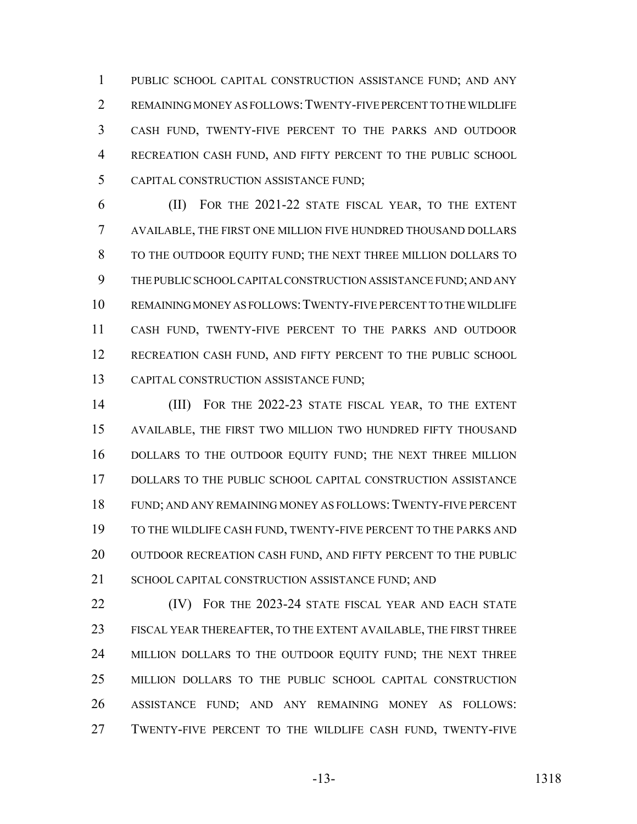PUBLIC SCHOOL CAPITAL CONSTRUCTION ASSISTANCE FUND; AND ANY REMAINING MONEY AS FOLLOWS:TWENTY-FIVE PERCENT TO THE WILDLIFE CASH FUND, TWENTY-FIVE PERCENT TO THE PARKS AND OUTDOOR RECREATION CASH FUND, AND FIFTY PERCENT TO THE PUBLIC SCHOOL CAPITAL CONSTRUCTION ASSISTANCE FUND;

 (II) FOR THE 2021-22 STATE FISCAL YEAR, TO THE EXTENT AVAILABLE, THE FIRST ONE MILLION FIVE HUNDRED THOUSAND DOLLARS TO THE OUTDOOR EQUITY FUND; THE NEXT THREE MILLION DOLLARS TO THE PUBLIC SCHOOL CAPITAL CONSTRUCTION ASSISTANCE FUND; AND ANY REMAINING MONEY AS FOLLOWS:TWENTY-FIVE PERCENT TO THE WILDLIFE CASH FUND, TWENTY-FIVE PERCENT TO THE PARKS AND OUTDOOR RECREATION CASH FUND, AND FIFTY PERCENT TO THE PUBLIC SCHOOL CAPITAL CONSTRUCTION ASSISTANCE FUND;

 (III) FOR THE 2022-23 STATE FISCAL YEAR, TO THE EXTENT AVAILABLE, THE FIRST TWO MILLION TWO HUNDRED FIFTY THOUSAND DOLLARS TO THE OUTDOOR EQUITY FUND; THE NEXT THREE MILLION DOLLARS TO THE PUBLIC SCHOOL CAPITAL CONSTRUCTION ASSISTANCE FUND; AND ANY REMAINING MONEY AS FOLLOWS:TWENTY-FIVE PERCENT TO THE WILDLIFE CASH FUND, TWENTY-FIVE PERCENT TO THE PARKS AND 20 OUTDOOR RECREATION CASH FUND, AND FIFTY PERCENT TO THE PUBLIC 21 SCHOOL CAPITAL CONSTRUCTION ASSISTANCE FUND: AND

**(IV)** FOR THE 2023-24 STATE FISCAL YEAR AND EACH STATE FISCAL YEAR THEREAFTER, TO THE EXTENT AVAILABLE, THE FIRST THREE 24 MILLION DOLLARS TO THE OUTDOOR EQUITY FUND; THE NEXT THREE MILLION DOLLARS TO THE PUBLIC SCHOOL CAPITAL CONSTRUCTION ASSISTANCE FUND; AND ANY REMAINING MONEY AS FOLLOWS: TWENTY-FIVE PERCENT TO THE WILDLIFE CASH FUND, TWENTY-FIVE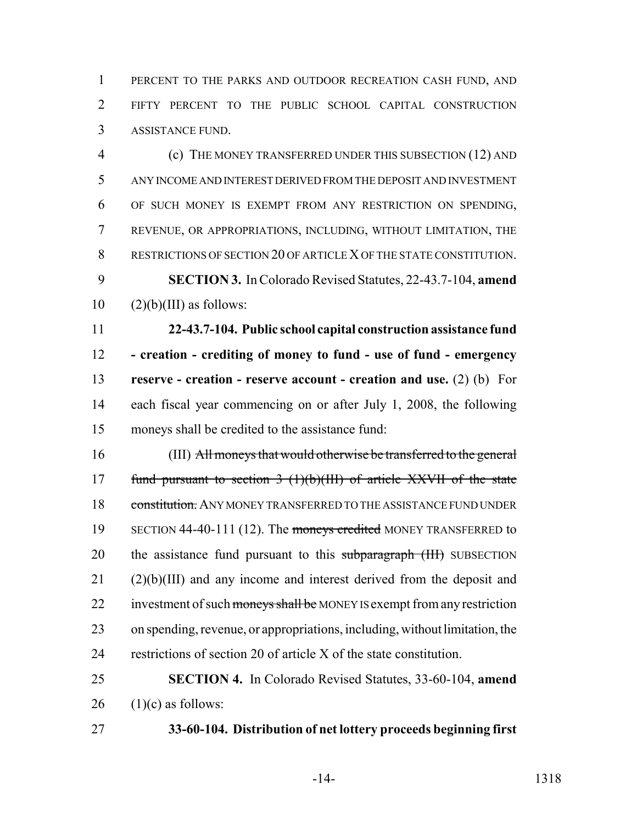PERCENT TO THE PARKS AND OUTDOOR RECREATION CASH FUND, AND FIFTY PERCENT TO THE PUBLIC SCHOOL CAPITAL CONSTRUCTION ASSISTANCE FUND.

 (c) THE MONEY TRANSFERRED UNDER THIS SUBSECTION (12) AND ANY INCOME AND INTEREST DERIVED FROM THE DEPOSIT AND INVESTMENT OF SUCH MONEY IS EXEMPT FROM ANY RESTRICTION ON SPENDING, REVENUE, OR APPROPRIATIONS, INCLUDING, WITHOUT LIMITATION, THE RESTRICTIONS OF SECTION 20 OF ARTICLE X OF THE STATE CONSTITUTION. **SECTION 3.** In Colorado Revised Statutes, 22-43.7-104, **amend**  $10 \qquad (2)(b)(III)$  as follows:

 **22-43.7-104. Public school capital construction assistance fund - creation - crediting of money to fund - use of fund - emergency reserve - creation - reserve account - creation and use.** (2) (b) For each fiscal year commencing on or after July 1, 2008, the following moneys shall be credited to the assistance fund:

 (III) All moneys that would otherwise be transferred to the general 17 fund pursuant to section  $3(1)(b)(III)$  of article XXVII of the state 18 constitution. ANY MONEY TRANSFERRED TO THE ASSISTANCE FUND UNDER 19 SECTION 44-40-111 (12). The moneys credited MONEY TRANSFERRED to 20 the assistance fund pursuant to this subparagraph (III) SUBSECTION (2)(b)(III) and any income and interest derived from the deposit and 22 investment of such moneys shall be MONEY IS exempt from any restriction on spending, revenue, or appropriations, including, without limitation, the restrictions of section 20 of article X of the state constitution.

 **SECTION 4.** In Colorado Revised Statutes, 33-60-104, **amend** (1)(c) as follows:

**33-60-104. Distribution of net lottery proceeds beginning first**